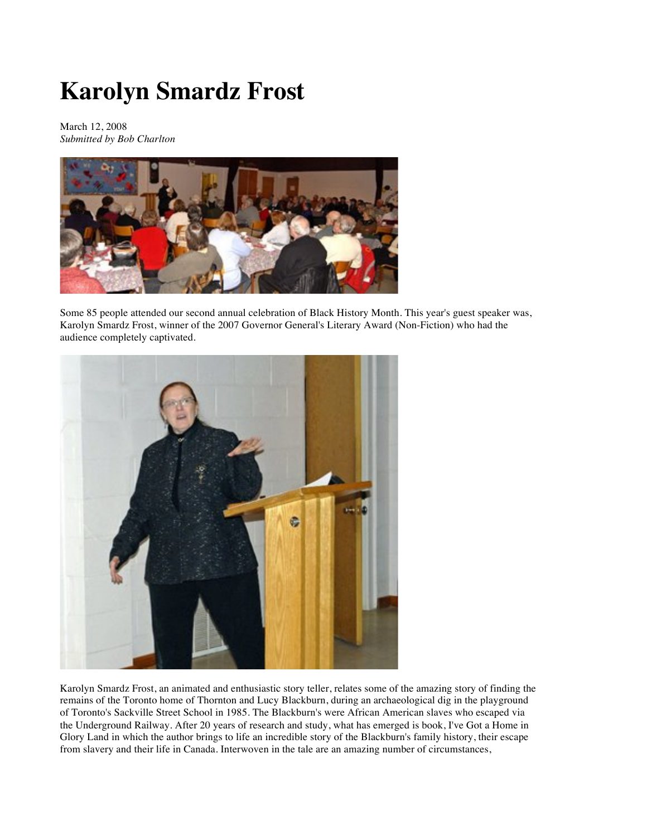## **Karolyn Smardz Frost**

March 12, 2008 *Submitted by Bob Charlton*



Some 85 people attended our second annual celebration of Black History Month. This year's guest speaker was, Karolyn Smardz Frost, winner of the 2007 Governor General's Literary Award (Non-Fiction) who had the audience completely captivated.



Karolyn Smardz Frost, an animated and enthusiastic story teller, relates some of the amazing story of finding the remains of the Toronto home of Thornton and Lucy Blackburn, during an archaeological dig in the playground of Toronto's Sackville Street School in 1985. The Blackburn's were African American slaves who escaped via the Underground Railway. After 20 years of research and study, what has emerged is book, I've Got a Home in Glory Land in which the author brings to life an incredible story of the Blackburn's family history, their escape from slavery and their life in Canada. Interwoven in the tale are an amazing number of circumstances,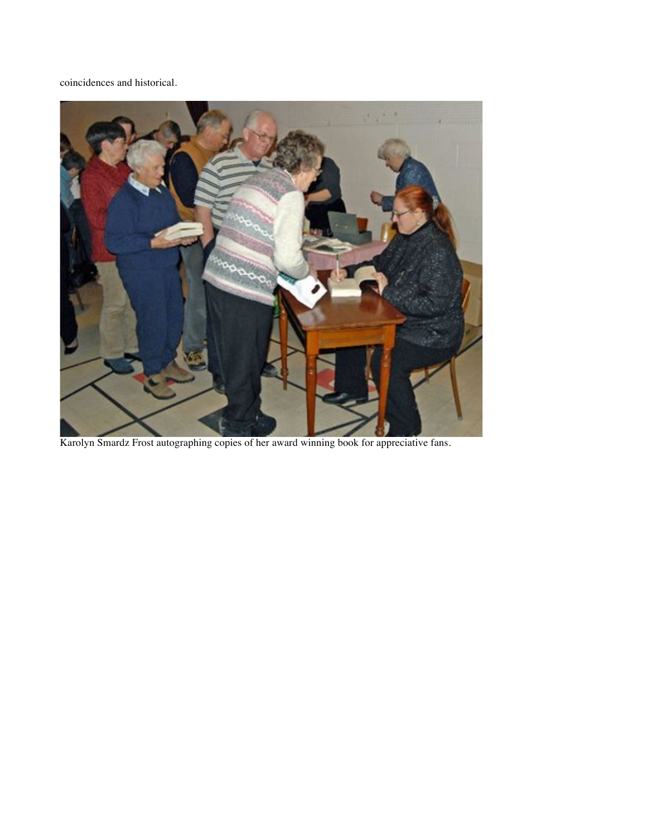coincidences and historical.



Karolyn Smardz Frost autographing copies of her award winning book for appreciative fans.